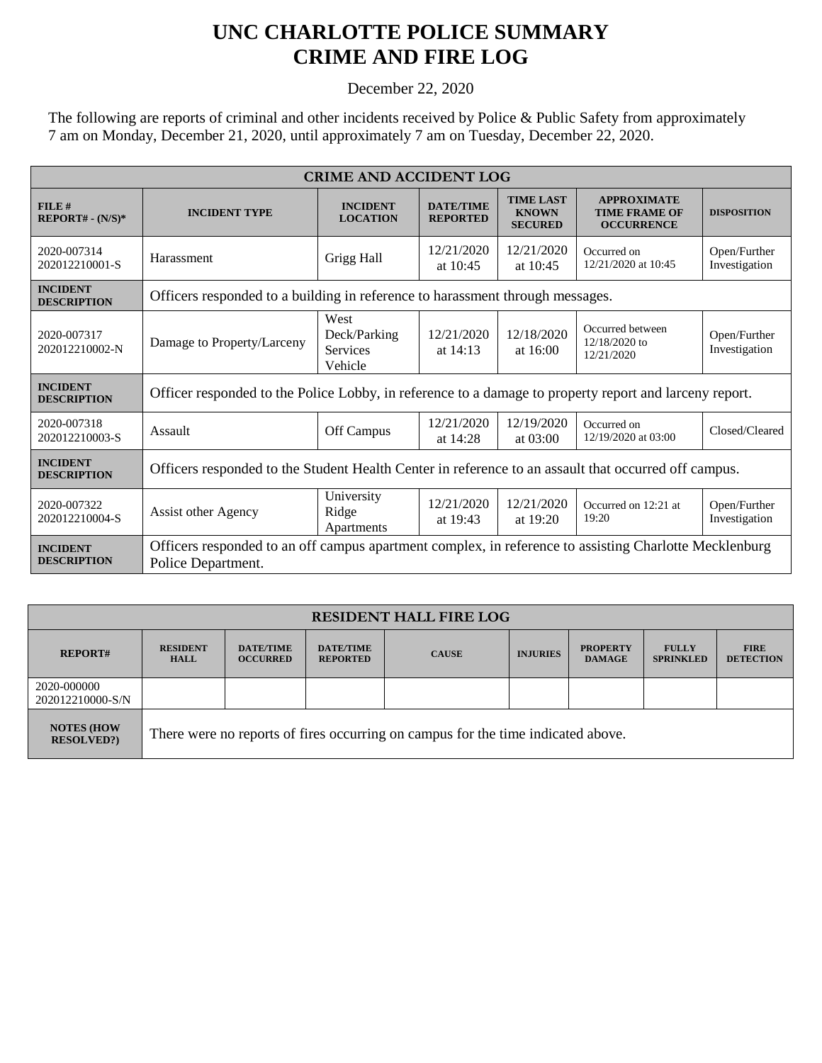## **UNC CHARLOTTE POLICE SUMMARY CRIME AND FIRE LOG**

December 22, 2020

The following are reports of criminal and other incidents received by Police & Public Safety from approximately 7 am on Monday, December 21, 2020, until approximately 7 am on Tuesday, December 22, 2020.

| <b>CRIME AND ACCIDENT LOG</b>         |                                                                                                                              |                                                    |                                     |                                                    |                                                                 |                               |  |
|---------------------------------------|------------------------------------------------------------------------------------------------------------------------------|----------------------------------------------------|-------------------------------------|----------------------------------------------------|-----------------------------------------------------------------|-------------------------------|--|
| FILE#<br>$REPORT# - (N/S)*$           | <b>INCIDENT TYPE</b>                                                                                                         | <b>INCIDENT</b><br><b>LOCATION</b>                 | <b>DATE/TIME</b><br><b>REPORTED</b> | <b>TIME LAST</b><br><b>KNOWN</b><br><b>SECURED</b> | <b>APPROXIMATE</b><br><b>TIME FRAME OF</b><br><b>OCCURRENCE</b> | <b>DISPOSITION</b>            |  |
| 2020-007314<br>202012210001-S         | Harassment                                                                                                                   | Grigg Hall                                         | 12/21/2020<br>at $10:45$            | 12/21/2020<br>at $10:45$                           | Occurred on<br>12/21/2020 at 10:45                              | Open/Further<br>Investigation |  |
| <b>INCIDENT</b><br><b>DESCRIPTION</b> | Officers responded to a building in reference to harassment through messages.                                                |                                                    |                                     |                                                    |                                                                 |                               |  |
| 2020-007317<br>202012210002-N         | Damage to Property/Larceny                                                                                                   | West<br>Deck/Parking<br><b>Services</b><br>Vehicle | 12/21/2020<br>at $14:13$            | 12/18/2020<br>at $16:00$                           | Occurred between<br>12/18/2020 to<br>12/21/2020                 | Open/Further<br>Investigation |  |
| <b>INCIDENT</b><br><b>DESCRIPTION</b> | Officer responded to the Police Lobby, in reference to a damage to property report and larceny report.                       |                                                    |                                     |                                                    |                                                                 |                               |  |
| 2020-007318<br>202012210003-S         | Assault                                                                                                                      | Off Campus                                         | 12/21/2020<br>at 14:28              | 12/19/2020<br>at 03:00                             | Occurred on<br>12/19/2020 at 03:00                              | Closed/Cleared                |  |
| <b>INCIDENT</b><br><b>DESCRIPTION</b> | Officers responded to the Student Health Center in reference to an assault that occurred off campus.                         |                                                    |                                     |                                                    |                                                                 |                               |  |
| 2020-007322<br>202012210004-S         | <b>Assist other Agency</b>                                                                                                   | University<br>Ridge<br>Apartments                  | 12/21/2020<br>at 19:43              | 12/21/2020<br>at 19:20                             | Occurred on 12:21 at<br>19:20                                   | Open/Further<br>Investigation |  |
| <b>INCIDENT</b><br><b>DESCRIPTION</b> | Officers responded to an off campus apartment complex, in reference to assisting Charlotte Mecklenburg<br>Police Department. |                                                    |                                     |                                                    |                                                                 |                               |  |

| <b>RESIDENT HALL FIRE LOG</b>          |                                                                                  |                                     |                                     |              |                 |                                  |                                  |                                 |
|----------------------------------------|----------------------------------------------------------------------------------|-------------------------------------|-------------------------------------|--------------|-----------------|----------------------------------|----------------------------------|---------------------------------|
| <b>REPORT#</b>                         | <b>RESIDENT</b><br><b>HALL</b>                                                   | <b>DATE/TIME</b><br><b>OCCURRED</b> | <b>DATE/TIME</b><br><b>REPORTED</b> | <b>CAUSE</b> | <b>INJURIES</b> | <b>PROPERTY</b><br><b>DAMAGE</b> | <b>FULLY</b><br><b>SPRINKLED</b> | <b>FIRE</b><br><b>DETECTION</b> |
| 2020-000000<br>202012210000-S/N        |                                                                                  |                                     |                                     |              |                 |                                  |                                  |                                 |
| <b>NOTES (HOW</b><br><b>RESOLVED?)</b> | There were no reports of fires occurring on campus for the time indicated above. |                                     |                                     |              |                 |                                  |                                  |                                 |